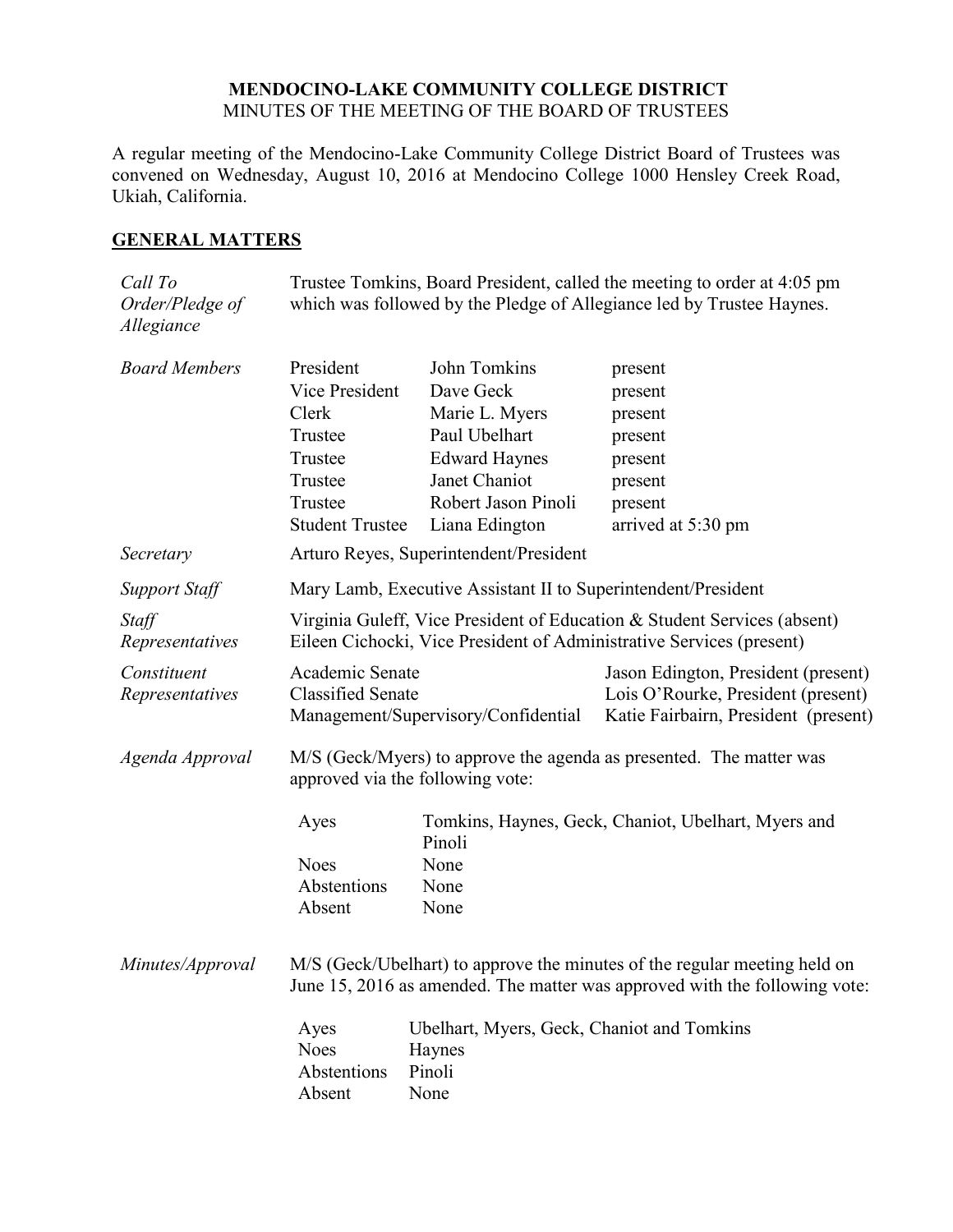## **MENDOCINO-LAKE COMMUNITY COLLEGE DISTRICT** MINUTES OF THE MEETING OF THE BOARD OF TRUSTEES

A regular meeting of the Mendocino-Lake Community College District Board of Trustees was convened on Wednesday, August 10, 2016 at Mendocino College 1000 Hensley Creek Road, Ukiah, California.

# **GENERAL MATTERS**

| Call To<br>Order/Pledge of<br>Allegiance | Trustee Tomkins, Board President, called the meeting to order at 4:05 pm<br>which was followed by the Pledge of Allegiance led by Trustee Haynes.       |                                            |                                                                                                                   |  |
|------------------------------------------|---------------------------------------------------------------------------------------------------------------------------------------------------------|--------------------------------------------|-------------------------------------------------------------------------------------------------------------------|--|
| <b>Board Members</b>                     | President<br>Vice President                                                                                                                             | John Tomkins<br>Dave Geck                  | present<br>present                                                                                                |  |
|                                          | Clerk                                                                                                                                                   | Marie L. Myers                             | present                                                                                                           |  |
|                                          | Trustee                                                                                                                                                 | Paul Ubelhart                              | present                                                                                                           |  |
|                                          | Trustee                                                                                                                                                 | <b>Edward Haynes</b>                       | present                                                                                                           |  |
|                                          | Trustee                                                                                                                                                 | Janet Chaniot                              | present                                                                                                           |  |
|                                          | Trustee                                                                                                                                                 | Robert Jason Pinoli                        | present                                                                                                           |  |
|                                          | <b>Student Trustee</b>                                                                                                                                  | Liana Edington                             | arrived at 5:30 pm                                                                                                |  |
| Secretary                                | Arturo Reyes, Superintendent/President                                                                                                                  |                                            |                                                                                                                   |  |
| <b>Support Staff</b>                     | Mary Lamb, Executive Assistant II to Superintendent/President                                                                                           |                                            |                                                                                                                   |  |
| Staff<br>Representatives                 | Virginia Guleff, Vice President of Education & Student Services (absent)<br>Eileen Cichocki, Vice President of Administrative Services (present)        |                                            |                                                                                                                   |  |
| Constituent<br>Representatives           | Academic Senate<br><b>Classified Senate</b><br>Management/Supervisory/Confidential                                                                      |                                            | Jason Edington, President (present)<br>Lois O'Rourke, President (present)<br>Katie Fairbairn, President (present) |  |
| Agenda Approval                          | M/S (Geck/Myers) to approve the agenda as presented. The matter was<br>approved via the following vote:                                                 |                                            |                                                                                                                   |  |
|                                          | Ayes                                                                                                                                                    | Pinoli                                     | Tomkins, Haynes, Geck, Chaniot, Ubelhart, Myers and                                                               |  |
|                                          | <b>Noes</b>                                                                                                                                             | None                                       |                                                                                                                   |  |
|                                          | Abstentions                                                                                                                                             | None                                       |                                                                                                                   |  |
|                                          | Absent                                                                                                                                                  | None                                       |                                                                                                                   |  |
| Minutes/Approval                         | M/S (Geck/Ubelhart) to approve the minutes of the regular meeting held on<br>June 15, 2016 as amended. The matter was approved with the following vote: |                                            |                                                                                                                   |  |
|                                          | Ayes                                                                                                                                                    | Ubelhart, Myers, Geck, Chaniot and Tomkins |                                                                                                                   |  |
|                                          | <b>Noes</b>                                                                                                                                             | Haynes                                     |                                                                                                                   |  |
|                                          | Abstentions                                                                                                                                             | Pinoli                                     |                                                                                                                   |  |
|                                          | Absent                                                                                                                                                  | None                                       |                                                                                                                   |  |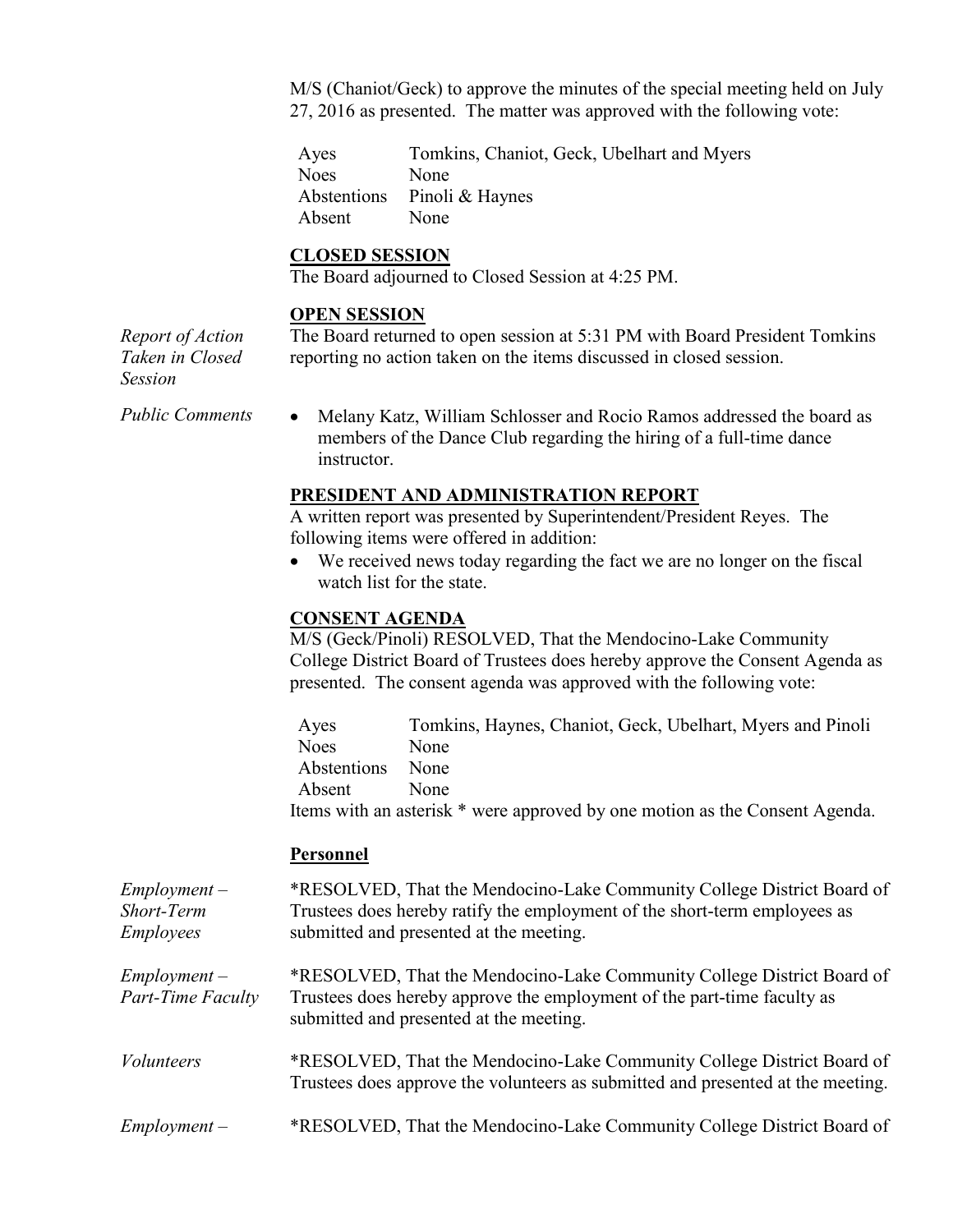M/S (Chaniot/Geck) to approve the minutes of the special meeting held on July 27, 2016 as presented. The matter was approved with the following vote:

Ayes Tomkins, Chaniot, Geck, Ubelhart and Myers Noes None Abstentions Pinoli & Haynes Absent None

# **CLOSED SESSION**

The Board adjourned to Closed Session at 4:25 PM.

### **OPEN SESSION**

*Report of Action Taken in Closed Session*

The Board returned to open session at 5:31 PM with Board President Tomkins reporting no action taken on the items discussed in closed session.

*Public Comments* • Melany Katz, William Schlosser and Rocio Ramos addressed the board as members of the Dance Club regarding the hiring of a full-time dance instructor.

### **PRESIDENT AND ADMINISTRATION REPORT**

A written report was presented by Superintendent/President Reyes. The following items were offered in addition:

 We received news today regarding the fact we are no longer on the fiscal watch list for the state.

#### **CONSENT AGENDA**

M/S (Geck/Pinoli) RESOLVED, That the Mendocino-Lake Community College District Board of Trustees does hereby approve the Consent Agenda as presented. The consent agenda was approved with the following vote:

Ayes Tomkins, Haynes, Chaniot, Geck, Ubelhart, Myers and Pinoli Noes None Abstentions None Absent None Items with an asterisk \* were approved by one motion as the Consent Agenda.

### **Personnel**

*Employment – Short-Term Employees* \*RESOLVED, That the Mendocino-Lake Community College District Board of Trustees does hereby ratify the employment of the short-term employees as submitted and presented at the meeting. *Employment – Part-Time Faculty* \*RESOLVED, That the Mendocino-Lake Community College District Board of Trustees does hereby approve the employment of the part-time faculty as

*Volunteers* \*RESOLVED, That the Mendocino-Lake Community College District Board of Trustees does approve the volunteers as submitted and presented at the meeting.

submitted and presented at the meeting.

*Employment –* \*RESOLVED, That the Mendocino-Lake Community College District Board of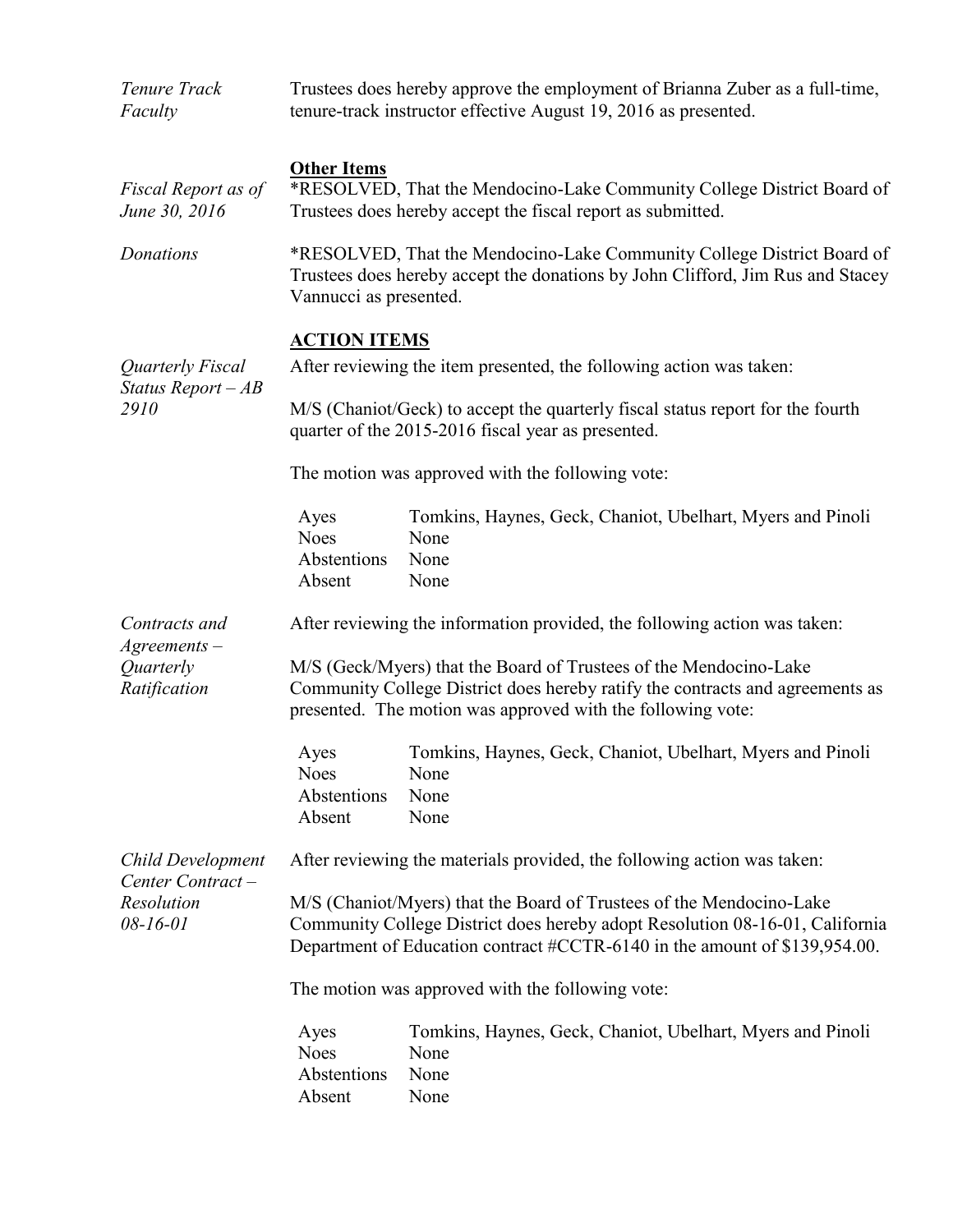| Tenure Track<br>Faculty                                               | Trustees does hereby approve the employment of Brianna Zuber as a full-time,<br>tenure-track instructor effective August 19, 2016 as presented.                                                                                    |                                                                                    |  |
|-----------------------------------------------------------------------|------------------------------------------------------------------------------------------------------------------------------------------------------------------------------------------------------------------------------------|------------------------------------------------------------------------------------|--|
| Fiscal Report as of<br>June 30, 2016                                  | <b>Other Items</b><br>*RESOLVED, That the Mendocino-Lake Community College District Board of<br>Trustees does hereby accept the fiscal report as submitted.                                                                        |                                                                                    |  |
| Donations                                                             | *RESOLVED, That the Mendocino-Lake Community College District Board of<br>Trustees does hereby accept the donations by John Clifford, Jim Rus and Stacey<br>Vannucci as presented.                                                 |                                                                                    |  |
|                                                                       | <b>ACTION ITEMS</b>                                                                                                                                                                                                                |                                                                                    |  |
| Quarterly Fiscal<br>Status Report $-AB$<br>2910                       | After reviewing the item presented, the following action was taken:                                                                                                                                                                |                                                                                    |  |
|                                                                       | M/S (Chaniot/Geck) to accept the quarterly fiscal status report for the fourth<br>quarter of the 2015-2016 fiscal year as presented.                                                                                               |                                                                                    |  |
|                                                                       | The motion was approved with the following vote:                                                                                                                                                                                   |                                                                                    |  |
|                                                                       | Ayes<br><b>Noes</b><br>Abstentions<br>Absent                                                                                                                                                                                       | Tomkins, Haynes, Geck, Chaniot, Ubelhart, Myers and Pinoli<br>None<br>None<br>None |  |
| Contracts and                                                         | After reviewing the information provided, the following action was taken:                                                                                                                                                          |                                                                                    |  |
| $A$ greements $-$<br>Quarterly<br>Ratification                        | M/S (Geck/Myers) that the Board of Trustees of the Mendocino-Lake<br>Community College District does hereby ratify the contracts and agreements as<br>presented. The motion was approved with the following vote:                  |                                                                                    |  |
|                                                                       | Ayes<br><b>Noes</b><br>Abstentions<br>Absent                                                                                                                                                                                       | Tomkins, Haynes, Geck, Chaniot, Ubelhart, Myers and Pinoli<br>None<br>None<br>None |  |
| Child Development<br>Center Contract-<br>Resolution<br>$08 - 16 - 01$ | After reviewing the materials provided, the following action was taken:                                                                                                                                                            |                                                                                    |  |
|                                                                       | M/S (Chaniot/Myers) that the Board of Trustees of the Mendocino-Lake<br>Community College District does hereby adopt Resolution 08-16-01, California<br>Department of Education contract #CCTR-6140 in the amount of \$139,954.00. |                                                                                    |  |
|                                                                       | The motion was approved with the following vote:                                                                                                                                                                                   |                                                                                    |  |
|                                                                       | Ayes<br><b>Noes</b><br>Abstentions<br>Absent                                                                                                                                                                                       | Tomkins, Haynes, Geck, Chaniot, Ubelhart, Myers and Pinoli<br>None<br>None<br>None |  |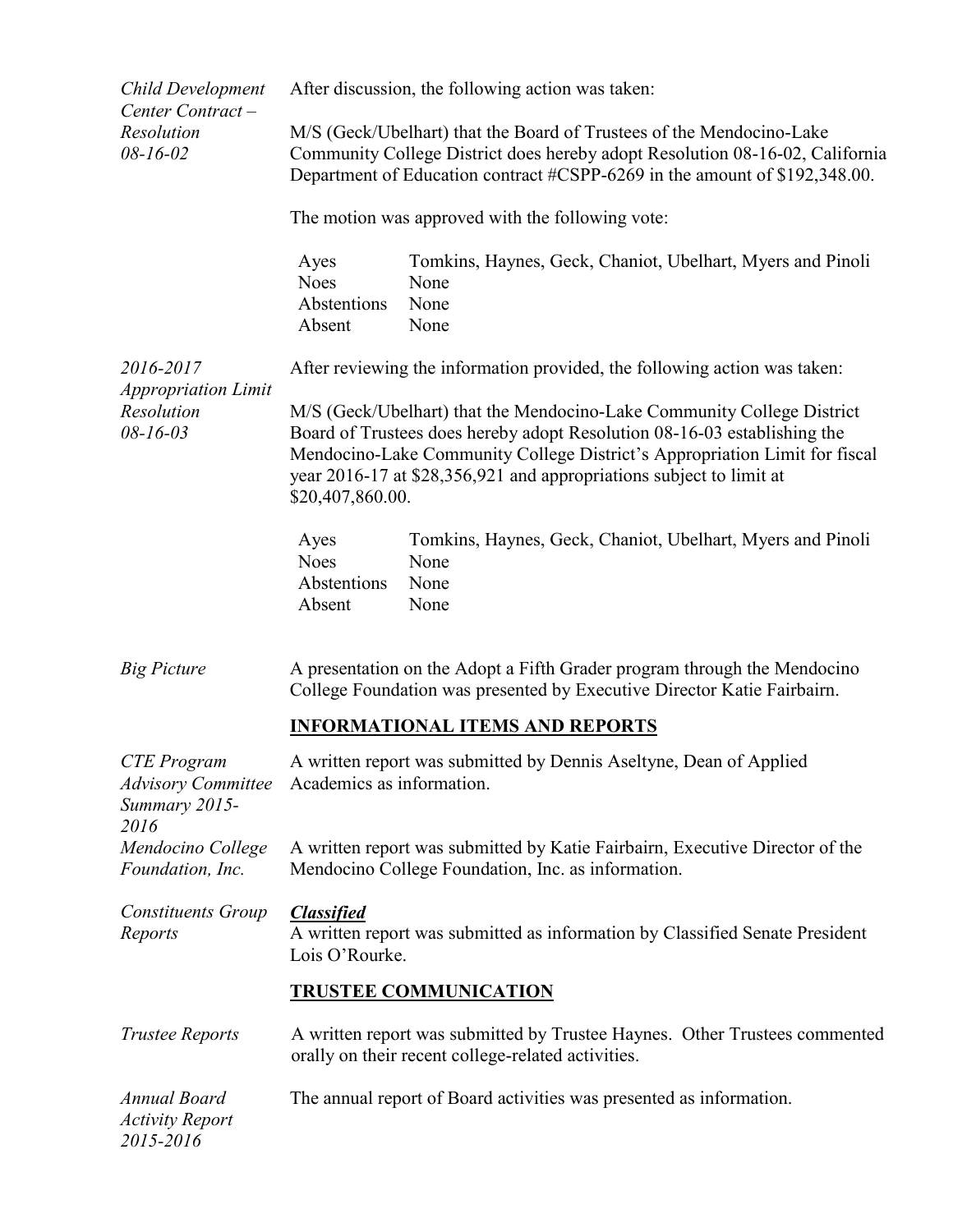| <b>Child Development</b><br>Center Contract-                            | After discussion, the following action was taken:                                                                                                                                                                                                                                                                           |                                                                                    |  |  |
|-------------------------------------------------------------------------|-----------------------------------------------------------------------------------------------------------------------------------------------------------------------------------------------------------------------------------------------------------------------------------------------------------------------------|------------------------------------------------------------------------------------|--|--|
| Resolution<br>$08 - 16 - 02$                                            | M/S (Geck/Ubelhart) that the Board of Trustees of the Mendocino-Lake<br>Community College District does hereby adopt Resolution 08-16-02, California<br>Department of Education contract #CSPP-6269 in the amount of \$192,348.00.                                                                                          |                                                                                    |  |  |
|                                                                         | The motion was approved with the following vote:                                                                                                                                                                                                                                                                            |                                                                                    |  |  |
|                                                                         | Ayes<br><b>Noes</b><br>Abstentions<br>Absent                                                                                                                                                                                                                                                                                | Tomkins, Haynes, Geck, Chaniot, Ubelhart, Myers and Pinoli<br>None<br>None<br>None |  |  |
| 2016-2017<br><b>Appropriation Limit</b><br>Resolution<br>$08 - 16 - 03$ | After reviewing the information provided, the following action was taken:                                                                                                                                                                                                                                                   |                                                                                    |  |  |
|                                                                         | M/S (Geck/Ubelhart) that the Mendocino-Lake Community College District<br>Board of Trustees does hereby adopt Resolution 08-16-03 establishing the<br>Mendocino-Lake Community College District's Appropriation Limit for fiscal<br>year 2016-17 at \$28,356,921 and appropriations subject to limit at<br>\$20,407,860.00. |                                                                                    |  |  |
|                                                                         | Ayes<br><b>Noes</b><br>Abstentions<br>Absent                                                                                                                                                                                                                                                                                | Tomkins, Haynes, Geck, Chaniot, Ubelhart, Myers and Pinoli<br>None<br>None<br>None |  |  |
| <b>Big Picture</b>                                                      | A presentation on the Adopt a Fifth Grader program through the Mendocino<br>College Foundation was presented by Executive Director Katie Fairbairn.                                                                                                                                                                         |                                                                                    |  |  |
|                                                                         | <b>INFORMATIONAL ITEMS AND REPORTS</b>                                                                                                                                                                                                                                                                                      |                                                                                    |  |  |
| <b>CTE</b> Program<br>Summary 2015-<br>2016                             | A written report was submitted by Dennis Aseltyne, Dean of Applied<br>Advisory Committee Academics as information.                                                                                                                                                                                                          |                                                                                    |  |  |
| Mendocino College<br>Foundation, Inc.                                   | A written report was submitted by Katie Fairbairn, Executive Director of the<br>Mendocino College Foundation, Inc. as information.                                                                                                                                                                                          |                                                                                    |  |  |
| <b>Constituents Group</b><br>Reports                                    | <b>Classified</b><br>A written report was submitted as information by Classified Senate President<br>Lois O'Rourke.                                                                                                                                                                                                         |                                                                                    |  |  |
|                                                                         | <b>TRUSTEE COMMUNICATION</b>                                                                                                                                                                                                                                                                                                |                                                                                    |  |  |
| <b>Trustee Reports</b>                                                  | A written report was submitted by Trustee Haynes. Other Trustees commented<br>orally on their recent college-related activities.                                                                                                                                                                                            |                                                                                    |  |  |
| Annual Board<br><b>Activity Report</b><br>2015-2016                     | The annual report of Board activities was presented as information.                                                                                                                                                                                                                                                         |                                                                                    |  |  |